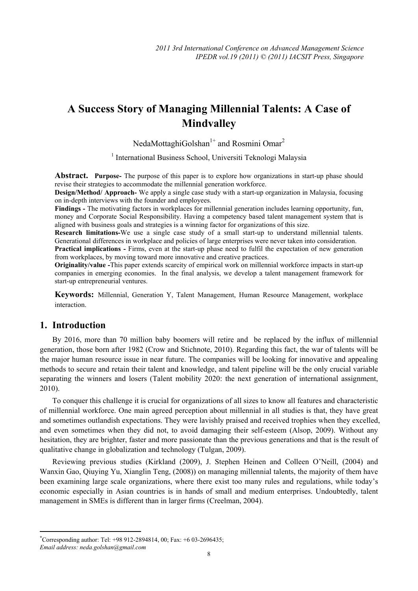# **A Success Story of Managing Millennial Talents: A Case of Mindvalley**

NedaMottaghiGolshan<sup>1+</sup> and Rosmini Omar<sup>2</sup>

<sup>1</sup> International Business School, Universiti Teknologi Malaysia

**Abstract. Purpose-** The purpose of this paper is to explore how organizations in start-up phase should revise their strategies to accommodate the millennial generation workforce.

**Design/Method/ Approach-** We apply a single case study with a start-up organization in Malaysia, focusing on in-depth interviews with the founder and employees.

**Findings -** The motivating factors in workplaces for millennial generation includes learning opportunity, fun, money and Corporate Social Responsibility. Having a competency based talent management system that is aligned with business goals and strategies is a winning factor for organizations of this size.

**Research limitations-**We use a single case study of a small start-up to understand millennial talents. Generational differences in workplace and policies of large enterprises were never taken into consideration.

**Practical implications -** Firms, even at the start-up phase need to fulfil the expectation of new generation from workplaces, by moving toward more innovative and creative practices.

**Originality/value -**This paper extends scarcity of empirical work on millennial workforce impacts in start-up companies in emerging economies. In the final analysis, we develop a talent management framework for start-up entrepreneurial ventures.

**Keywords:** Millennial, Generation Y, Talent Management, Human Resource Management, workplace interaction.

## **1. Introduction**

By 2016, more than 70 million baby boomers will retire and be replaced by the influx of millennial generation, those born after 1982 (Crow and Stichnote, 2010). Regarding this fact, the war of talents will be the major human resource issue in near future. The companies will be looking for innovative and appealing methods to secure and retain their talent and knowledge, and talent pipeline will be the only crucial variable separating the winners and losers (Talent mobility 2020: the next generation of international assignment, 2010).

To conquer this challenge it is crucial for organizations of all sizes to know all features and characteristic of millennial workforce. One main agreed perception about millennial in all studies is that, they have great and sometimes outlandish expectations. They were lavishly praised and received trophies when they excelled, and even sometimes when they did not, to avoid damaging their self-esteem (Alsop, 2009). Without any hesitation, they are brighter, faster and more passionate than the previous generations and that is the result of qualitative change in globalization and technology (Tulgan, 2009).

Reviewing previous studies (Kirkland (2009), J. Stephen Heinen and Colleen O'Neill, (2004) and Wanxin Gao, Qiuying Yu, Xianglin Teng, (2008)) on managing millennial talents, the majority of them have been examining large scale organizations, where there exist too many rules and regulations, while today's economic especially in Asian countries is in hands of small and medium enterprises. Undoubtedly, talent management in SMEs is different than in larger firms (Creelman, 2004).

 $\overline{\phantom{a}}$ 

<sup>+</sup> Corresponding author: Tel: +98 912-2894814, 00; Fax: +6 03-2696435;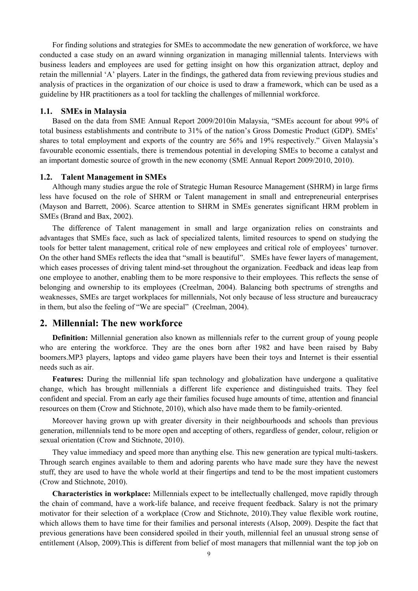For finding solutions and strategies for SMEs to accommodate the new generation of workforce, we have conducted a case study on an award winning organization in managing millennial talents. Interviews with business leaders and employees are used for getting insight on how this organization attract, deploy and retain the millennial 'A' players. Later in the findings, the gathered data from reviewing previous studies and analysis of practices in the organization of our choice is used to draw a framework, which can be used as a guideline by HR practitioners as a tool for tackling the challenges of millennial workforce.

## **1.1. SMEs in Malaysia**

Based on the data from SME Annual Report 2009/2010in Malaysia, "SMEs account for about 99% of total business establishments and contribute to 31% of the nation's Gross Domestic Product (GDP). SMEs' shares to total employment and exports of the country are 56% and 19% respectively." Given Malaysia's favourable economic essentials, there is tremendous potential in developing SMEs to become a catalyst and an important domestic source of growth in the new economy (SME Annual Report 2009/2010, 2010).

#### **1.2. Talent Management in SMEs**

Although many studies argue the role of Strategic Human Resource Management (SHRM) in large firms less have focused on the role of SHRM or Talent management in small and entrepreneurial enterprises (Mayson and Barrett, 2006). Scarce attention to SHRM in SMEs generates significant HRM problem in SMEs (Brand and Bax, 2002).

The difference of Talent management in small and large organization relies on constraints and advantages that SMEs face, such as lack of specialized talents, limited resources to spend on studying the tools for better talent management, critical role of new employees and critical role of employees' turnover. On the other hand SMEs reflects the idea that "small is beautiful". SMEs have fewer layers of management, which eases processes of driving talent mind-set throughout the organization. Feedback and ideas leap from one employee to another, enabling them to be more responsive to their employees. This reflects the sense of belonging and ownership to its employees (Creelman, 2004). Balancing both spectrums of strengths and weaknesses, SMEs are target workplaces for millennials, Not only because of less structure and bureaucracy in them, but also the feeling of "We are special" (Creelman, 2004).

## **2. Millennial: The new workforce**

**Definition:** Millennial generation also known as millennials refer to the current group of young people who are entering the workforce. They are the ones born after 1982 and have been raised by Baby boomers.MP3 players, laptops and video game players have been their toys and Internet is their essential needs such as air.

**Features:** During the millennial life span technology and globalization have undergone a qualitative change, which has brought millennials a different life experience and distinguished traits. They feel confident and special. From an early age their families focused huge amounts of time, attention and financial resources on them (Crow and Stichnote, 2010), which also have made them to be family-oriented.

Moreover having grown up with greater diversity in their neighbourhoods and schools than previous generation, millennials tend to be more open and accepting of others, regardless of gender, colour, religion or sexual orientation (Crow and Stichnote, 2010).

They value immediacy and speed more than anything else. This new generation are typical multi-taskers. Through search engines available to them and adoring parents who have made sure they have the newest stuff, they are used to have the whole world at their fingertips and tend to be the most impatient customers (Crow and Stichnote, 2010).

**Characteristics in workplace:** Millennials expect to be intellectually challenged, move rapidly through the chain of command, have a work-life balance, and receive frequent feedback. Salary is not the primary motivator for their selection of a workplace (Crow and Stichnote, 2010).They value flexible work routine, which allows them to have time for their families and personal interests (Alsop, 2009). Despite the fact that previous generations have been considered spoiled in their youth, millennial feel an unusual strong sense of entitlement (Alsop, 2009).This is different from belief of most managers that millennial want the top job on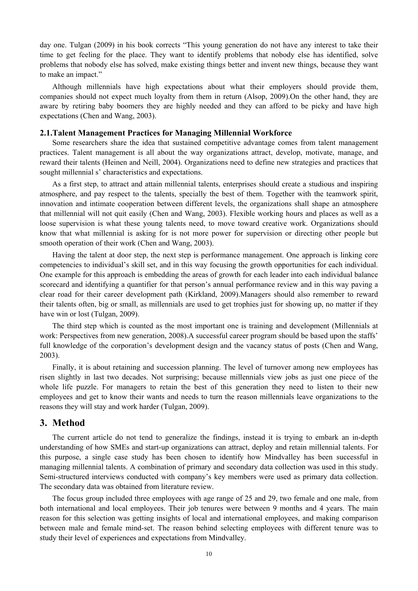day one. Tulgan (2009) in his book corrects "This young generation do not have any interest to take their time to get feeling for the place. They want to identify problems that nobody else has identified, solve problems that nobody else has solved, make existing things better and invent new things, because they want to make an impact."

Although millennials have high expectations about what their employers should provide them, companies should not expect much loyalty from them in return (Alsop, 2009).On the other hand, they are aware by retiring baby boomers they are highly needed and they can afford to be picky and have high expectations (Chen and Wang, 2003).

#### **2.1.Talent Management Practices for Managing Millennial Workforce**

Some researchers share the idea that sustained competitive advantage comes from talent management practices. Talent management is all about the way organizations attract, develop, motivate, manage, and reward their talents (Heinen and Neill, 2004). Organizations need to define new strategies and practices that sought millennial s' characteristics and expectations.

As a first step, to attract and attain millennial talents, enterprises should create a studious and inspiring atmosphere, and pay respect to the talents, specially the best of them. Together with the teamwork spirit, innovation and intimate cooperation between different levels, the organizations shall shape an atmosphere that millennial will not quit easily (Chen and Wang, 2003). Flexible working hours and places as well as a loose supervision is what these young talents need, to move toward creative work. Organizations should know that what millennial is asking for is not more power for supervision or directing other people but smooth operation of their work (Chen and Wang, 2003).

Having the talent at door step, the next step is performance management. One approach is linking core competencies to individual's skill set, and in this way focusing the growth opportunities for each individual. One example for this approach is embedding the areas of growth for each leader into each individual balance scorecard and identifying a quantifier for that person's annual performance review and in this way paving a clear road for their career development path (Kirkland, 2009).Managers should also remember to reward their talents often, big or small, as millennials are used to get trophies just for showing up, no matter if they have win or lost (Tulgan, 2009).

The third step which is counted as the most important one is training and development (Millennials at work: Perspectives from new generation, 2008).A successful career program should be based upon the staffs' full knowledge of the corporation's development design and the vacancy status of posts (Chen and Wang, 2003).

Finally, it is about retaining and succession planning. The level of turnover among new employees has risen slightly in last two decades. Not surprising; because millennials view jobs as just one piece of the whole life puzzle. For managers to retain the best of this generation they need to listen to their new employees and get to know their wants and needs to turn the reason millennials leave organizations to the reasons they will stay and work harder (Tulgan, 2009).

## **3. Method**

The current article do not tend to generalize the findings, instead it is trying to embark an in-depth understanding of how SMEs and start-up organizations can attract, deploy and retain millennial talents. For this purpose, a single case study has been chosen to identify how Mindvalley has been successful in managing millennial talents. A combination of primary and secondary data collection was used in this study. Semi-structured interviews conducted with company's key members were used as primary data collection. The secondary data was obtained from literature review.

The focus group included three employees with age range of 25 and 29, two female and one male, from both international and local employees. Their job tenures were between 9 months and 4 years. The main reason for this selection was getting insights of local and international employees, and making comparison between male and female mind-set. The reason behind selecting employees with different tenure was to study their level of experiences and expectations from Mindvalley.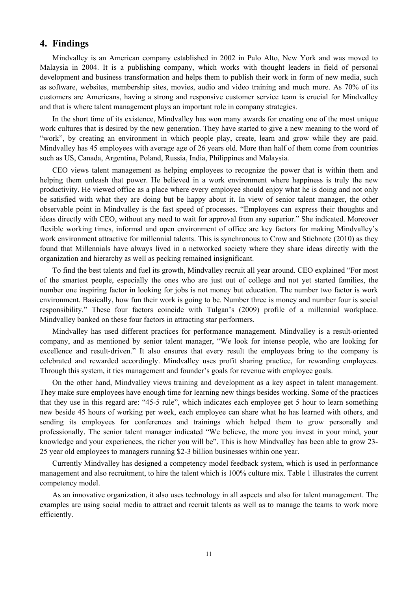# **4. Findings**

Mindvalley is an American company established in 2002 in Palo Alto, New York and was moved to Malaysia in 2004. It is a publishing company, which works with thought leaders in field of personal development and business transformation and helps them to publish their work in form of new media, such as software, websites, membership sites, movies, audio and video training and much more. As 70% of its customers are Americans, having a strong and responsive customer service team is crucial for Mindvalley and that is where talent management plays an important role in company strategies.

In the short time of its existence, Mindvalley has won many awards for creating one of the most unique work cultures that is desired by the new generation. They have started to give a new meaning to the word of "work", by creating an environment in which people play, create, learn and grow while they are paid. Mindvalley has 45 employees with average age of 26 years old. More than half of them come from countries such as US, Canada, Argentina, Poland, Russia, India, Philippines and Malaysia.

CEO views talent management as helping employees to recognize the power that is within them and helping them unleash that power. He believed in a work environment where happiness is truly the new productivity. He viewed office as a place where every employee should enjoy what he is doing and not only be satisfied with what they are doing but be happy about it. In view of senior talent manager, the other observable point in Mindvalley is the fast speed of processes. "Employees can express their thoughts and ideas directly with CEO, without any need to wait for approval from any superior." She indicated. Moreover flexible working times, informal and open environment of office are key factors for making Mindvalley's work environment attractive for millennial talents. This is synchronous to Crow and Stichnote (2010) as they found that Millennials have always lived in a networked society where they share ideas directly with the organization and hierarchy as well as pecking remained insignificant.

To find the best talents and fuel its growth, Mindvalley recruit all year around. CEO explained "For most of the smartest people, especially the ones who are just out of college and not yet started families, the number one inspiring factor in looking for jobs is not money but education. The number two factor is work environment. Basically, how fun their work is going to be. Number three is money and number four is social responsibility." These four factors coincide with Tulgan's (2009) profile of a millennial workplace. Mindvalley banked on these four factors in attracting star performers.

Mindvalley has used different practices for performance management. Mindvalley is a result-oriented company, and as mentioned by senior talent manager, "We look for intense people, who are looking for excellence and result-driven." It also ensures that every result the employees bring to the company is celebrated and rewarded accordingly. Mindvalley uses profit sharing practice, for rewarding employees. Through this system, it ties management and founder's goals for revenue with employee goals.

On the other hand, Mindvalley views training and development as a key aspect in talent management. They make sure employees have enough time for learning new things besides working. Some of the practices that they use in this regard are: "45-5 rule", which indicates each employee get 5 hour to learn something new beside 45 hours of working per week, each employee can share what he has learned with others, and sending its employees for conferences and trainings which helped them to grow personally and professionally. The senior talent manager indicated "We believe, the more you invest in your mind, your knowledge and your experiences, the richer you will be". This is how Mindvalley has been able to grow 23- 25 year old employees to managers running \$2-3 billion businesses within one year.

Currently Mindvalley has designed a competency model feedback system, which is used in performance management and also recruitment, to hire the talent which is 100% culture mix. Table 1 illustrates the current competency model.

As an innovative organization, it also uses technology in all aspects and also for talent management. The examples are using social media to attract and recruit talents as well as to manage the teams to work more efficiently.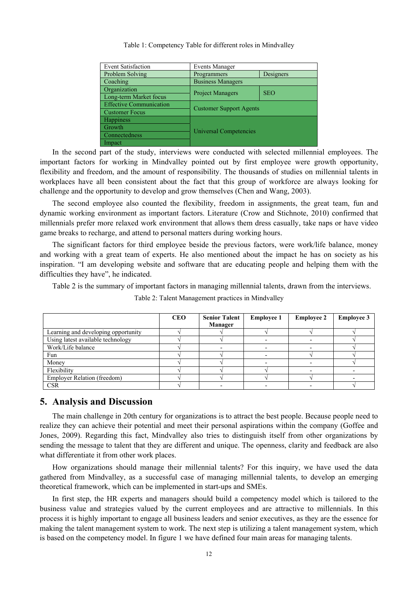| <b>Event Satisfaction</b>      | <b>Events Manager</b>          |            |  |  |
|--------------------------------|--------------------------------|------------|--|--|
| Problem Solving                | Designers<br>Programmers       |            |  |  |
| Coaching                       | <b>Business Managers</b>       |            |  |  |
| Organization                   | <b>Project Managers</b>        | <b>SEO</b> |  |  |
| Long-term Market focus         |                                |            |  |  |
| <b>Effective Communication</b> | <b>Customer Support Agents</b> |            |  |  |
| <b>Customer Focus</b>          |                                |            |  |  |
| <b>Happiness</b>               | Universal Competencies         |            |  |  |
| Growth                         |                                |            |  |  |
| Connectedness                  |                                |            |  |  |
| Impact                         |                                |            |  |  |

Table 1: Competency Table for different roles in Mindvalley

In the second part of the study, interviews were conducted with selected millennial employees. The important factors for working in Mindvalley pointed out by first employee were growth opportunity, flexibility and freedom, and the amount of responsibility. The thousands of studies on millennial talents in workplaces have all been consistent about the fact that this group of workforce are always looking for challenge and the opportunity to develop and grow themselves (Chen and Wang, 2003).

The second employee also counted the flexibility, freedom in assignments, the great team, fun and dynamic working environment as important factors. Literature (Crow and Stichnote, 2010) confirmed that millennials prefer more relaxed work environment that allows them dress casually, take naps or have video game breaks to recharge, and attend to personal matters during working hours.

The significant factors for third employee beside the previous factors, were work/life balance, money and working with a great team of experts. He also mentioned about the impact he has on society as his inspiration. "I am developing website and software that are educating people and helping them with the difficulties they have", he indicated.

Table 2 is the summary of important factors in managing millennial talents, drawn from the interviews.

|                                     | <b>CEO</b> | <b>Senior Talent</b><br>Manager | <b>Employee 1</b> | <b>Employee 2</b> | <b>Employee 3</b> |
|-------------------------------------|------------|---------------------------------|-------------------|-------------------|-------------------|
| Learning and developing opportunity |            |                                 |                   |                   |                   |
| Using latest available technology   |            |                                 |                   |                   |                   |
| Work/Life balance                   |            |                                 |                   |                   |                   |
| Fun                                 |            |                                 |                   |                   |                   |
| Money                               |            |                                 |                   |                   |                   |
| Flexibility                         |            |                                 |                   |                   |                   |
| <b>Employer Relation (freedom)</b>  |            |                                 |                   |                   |                   |
| <b>CSR</b>                          |            |                                 |                   |                   |                   |

Table 2: Talent Management practices in Mindvalley

## **5. Analysis and Discussion**

The main challenge in 20th century for organizations is to attract the best people. Because people need to realize they can achieve their potential and meet their personal aspirations within the company (Goffee and Jones, 2009). Regarding this fact, Mindvalley also tries to distinguish itself from other organizations by sending the message to talent that they are different and unique. The openness, clarity and feedback are also what differentiate it from other work places.

How organizations should manage their millennial talents? For this inquiry, we have used the data gathered from Mindvalley, as a successful case of managing millennial talents, to develop an emerging theoretical framework, which can be implemented in start-ups and SMEs.

In first step, the HR experts and managers should build a competency model which is tailored to the business value and strategies valued by the current employees and are attractive to millennials. In this process it is highly important to engage all business leaders and senior executives, as they are the essence for making the talent management system to work. The next step is utilizing a talent management system, which is based on the competency model. In figure 1 we have defined four main areas for managing talents.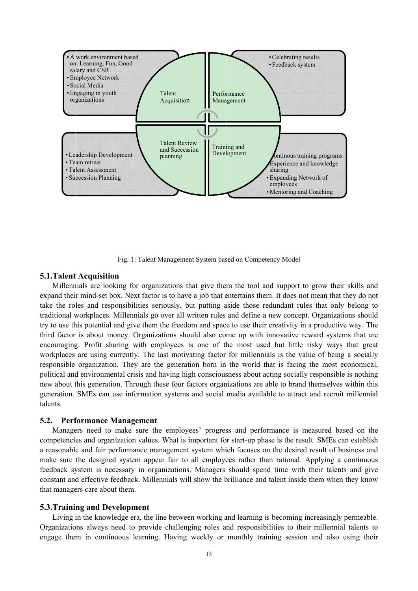

Fig. 1: Talent Management System based on Competency Model

## **5.1.Talent Acquisition**

Millennials are looking for organizations that give them the tool and support to grow their skills and expand their mind-set box. Next factor is to have a job that entertains them. It does not mean that they do not take the roles and responsibilities seriously, but putting aside those redundant rules that only belong to traditional workplaces. Millennials go over all written rules and define a new concept. Organizations should try to use this potential and give them the freedom and space to use their creativity in a productive way. The third factor is about money. Organizations should also come up with innovative reward systems that are encouraging. Profit sharing with employees is one of the most used but little risky ways that great workplaces are using currently. The last motivating factor for millennials is the value of being a socially responsible organization. They are the generation born in the world that is facing the most economical, political and environmental crisis and having high consciousness about acting socially responsible is nothing new about this generation. Through these four factors organizations are able to brand themselves within this generation. SMEs can use information systems and social media available to attract and recruit millennial talents. dtodet<br>todety<br>deety<br>and lyslehdse<br>heshed<br>we www.ordety<br>le.to

## **5.2.** Performance Management

Managers need to make sure the employees' progress and performance is measured based on the competencies and organization values. What is important for start-up phase is the result. SMEs can establish a reasonable and fair performance management system which focuses on the desired result of business and make sure the designed system appear fair to all employees rather than rational. Applying a continuous feedback system is necessary in organizations. Managers should spend time with their talents and give constant and effective feedback. Millennials will show the brilliance and talent inside them when they know that managers care about them.

#### **5.3. Training and Development**

Living in the knowledge era, the line between working and learning is becoming increasingly permeable. Organizations always need to provide challenging roles and responsibilities to their millennial talents to engage them in continuous learning. Having weekly or monthly training session and also using their